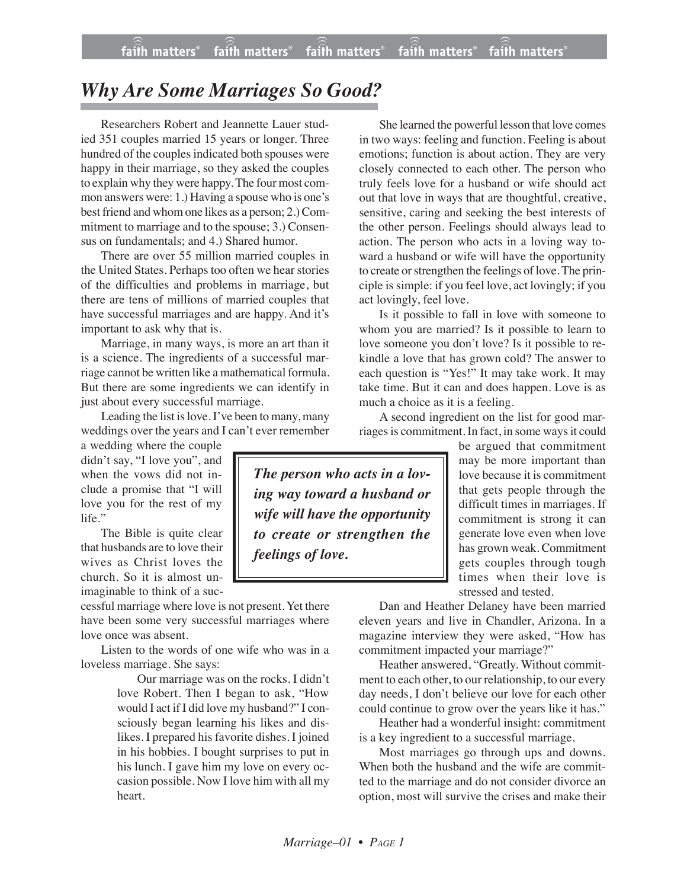## *Why Are Some Marriages So Good?*

Researchers Robert and Jeannette Lauer studied 351 couples married 15 years or longer. Three hundred of the couples indicated both spouses were happy in their marriage, so they asked the couples to explain why they were happy. The four most common answers were: 1.) Having a spouse who is one's best friend and whom one likes as a person; 2.) Commitment to marriage and to the spouse; 3.) Consensus on fundamentals; and 4.) Shared humor.

There are over 55 million married couples in the United States. Perhaps too often we hear stories of the difficulties and problems in marriage, but there are tens of millions of married couples that have successful marriages and are happy. And it's important to ask why that is.

Marriage, in many ways, is more an art than it is a science. The ingredients of a successful marriage cannot be written like a mathematical formula. But there are some ingredients we can identify in just about every successful marriage.

Leading the list is love. I've been to many, many weddings over the years and I can't ever remember

a wedding where the couple didn't say, "I love you", and when the vows did not include a promise that "I will love you for the rest of my life."

The Bible is quite clear that husbands are to love their wives as Christ loves the church. So it is almost unimaginable to think of a suc-

cessful marriage where love is not present. Yet there have been some very successful marriages where love once was absent.

Listen to the words of one wife who was in a loveless marriage. She says:

> Our marriage was on the rocks. I didn't love Robert. Then I began to ask, "How would I act if I did love my husband?" I consciously began learning his likes and dislikes. I prepared his favorite dishes. I joined in his hobbies. I bought surprises to put in his lunch. I gave him my love on every occasion possible. Now I love him with all my heart.

She learned the powerful lesson that love comes in two ways: feeling and function. Feeling is about emotions; function is about action. They are very closely connected to each other. The person who truly feels love for a husband or wife should act out that love in ways that are thoughtful, creative, sensitive, caring and seeking the best interests of the other person. Feelings should always lead to action. The person who acts in a loving way toward a husband or wife will have the opportunity to create or strengthen the feelings of love. The principle is simple: if you feel love, act lovingly; if you act lovingly, feel love.

Is it possible to fall in love with someone to whom you are married? Is it possible to learn to love someone you don't love? Is it possible to rekindle a love that has grown cold? The answer to each question is "Yes!" It may take work. It may take time. But it can and does happen. Love is as much a choice as it is a feeling.

A second ingredient on the list for good marriages is commitment. In fact, in some waysit could

> be argued that commitment may be more important than love because it is commitment that gets people through the difficult times in marriages. If commitment is strong it can generate love even when love has grown weak. Commitment gets couples through tough times when their love is stressed and tested.

Dan and Heather Delaney have been married eleven years and live in Chandler, Arizona. In a magazine interview they were asked, "How has commitment impacted your marriage?"

Heather answered, "Greatly. Without commitment to each other, to our relationship, to our every day needs, I don't believe our love for each other could continue to grow over the years like it has."

Heather had a wonderful insight: commitment is a key ingredient to a successful marriage.

Most marriages go through ups and downs. When both the husband and the wife are committed to the marriage and do not consider divorce an option, most will survive the crises and make their

*The person who acts in a loving way toward a husband or wife will have the opportunity to create or strengthen the feelings of love.*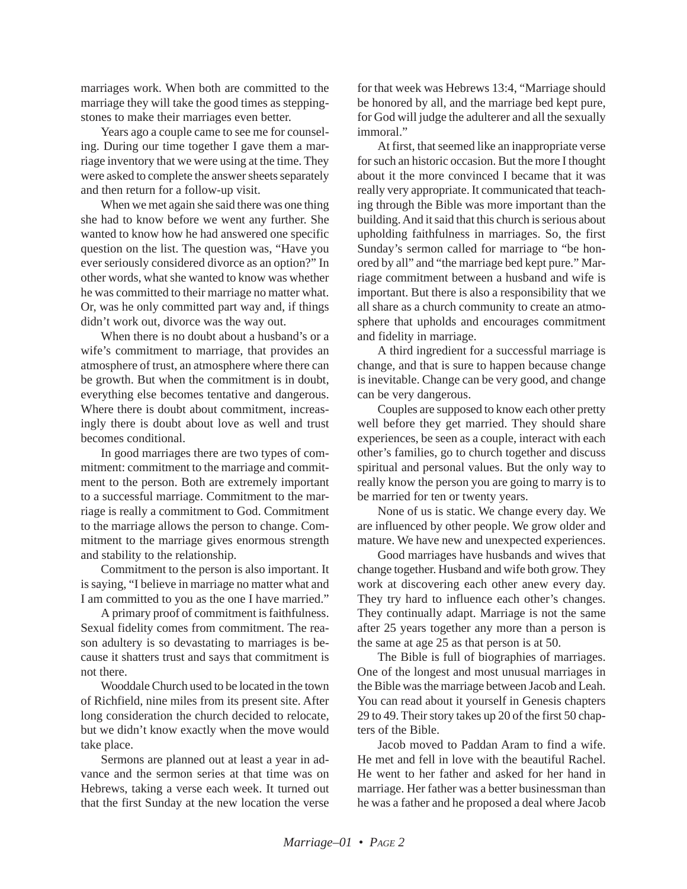marriages work. When both are committed to the marriage they will take the good times as steppingstones to make their marriages even better.

Years ago a couple came to see me for counseling. During our time together I gave them a marriage inventory that we were using at the time. They were asked to complete the answer sheets separately and then return for a follow-up visit.

When we met again she said there was one thing she had to know before we went any further. She wanted to know how he had answered one specific question on the list. The question was, "Have you ever seriously considered divorce as an option?" In other words, what she wanted to know was whether he was committed to their marriage no matter what. Or, was he only committed part way and, if things didn't work out, divorce was the way out.

When there is no doubt about a husband's or a wife's commitment to marriage, that provides an atmosphere of trust, an atmosphere where there can be growth. But when the commitment is in doubt, everything else becomes tentative and dangerous. Where there is doubt about commitment, increasingly there is doubt about love as well and trust becomes conditional.

In good marriages there are two types of commitment: commitment to the marriage and commitment to the person. Both are extremely important to a successful marriage. Commitment to the marriage is really a commitment to God. Commitment to the marriage allows the person to change. Commitment to the marriage gives enormous strength and stability to the relationship.

Commitment to the person is also important. It is saying, "I believe in marriage no matter what and I am committed to you as the one I have married."

A primary proof of commitment is faithfulness. Sexual fidelity comes from commitment. The reason adultery is so devastating to marriages is because it shatters trust and says that commitment is not there.

Wooddale Church used to be located in the town of Richfield, nine miles from its present site. After long consideration the church decided to relocate, but we didn't know exactly when the move would take place.

Sermons are planned out at least a year in advance and the sermon series at that time was on Hebrews, taking a verse each week. It turned out that the first Sunday at the new location the verse for that week was Hebrews 13:4, "Marriage should be honored by all, and the marriage bed kept pure, for God will judge the adulterer and all the sexually immoral."

At first, that seemed like an inappropriate verse for such an historic occasion. But the more I thought about it the more convinced I became that it was really very appropriate. It communicated that teaching through the Bible was more important than the building. And it said that this church is serious about upholding faithfulness in marriages. So, the first Sunday's sermon called for marriage to "be honored by all" and "the marriage bed kept pure." Marriage commitment between a husband and wife is important. But there is also a responsibility that we all share as a church community to create an atmosphere that upholds and encourages commitment and fidelity in marriage.

A third ingredient for a successful marriage is change, and that is sure to happen because change is inevitable. Change can be very good, and change can be very dangerous.

Couples are supposed to know each other pretty well before they get married. They should share experiences, be seen as a couple, interact with each other's families, go to church together and discuss spiritual and personal values. But the only way to really know the person you are going to marry is to be married for ten or twenty years.

None of us is static. We change every day. We are influenced by other people. We grow older and mature. We have new and unexpected experiences.

Good marriages have husbands and wives that change together. Husband and wife both grow. They work at discovering each other anew every day. They try hard to influence each other's changes. They continually adapt. Marriage is not the same after 25 years together any more than a person is the same at age 25 as that person is at 50.

The Bible is full of biographies of marriages. One of the longest and most unusual marriages in the Bible was the marriage between Jacob and Leah. You can read about it yourself in Genesis chapters 29 to 49. Their story takes up 20 of the first 50 chapters of the Bible.

Jacob moved to Paddan Aram to find a wife. He met and fell in love with the beautiful Rachel. He went to her father and asked for her hand in marriage. Her father was a better businessman than he was a father and he proposed a deal where Jacob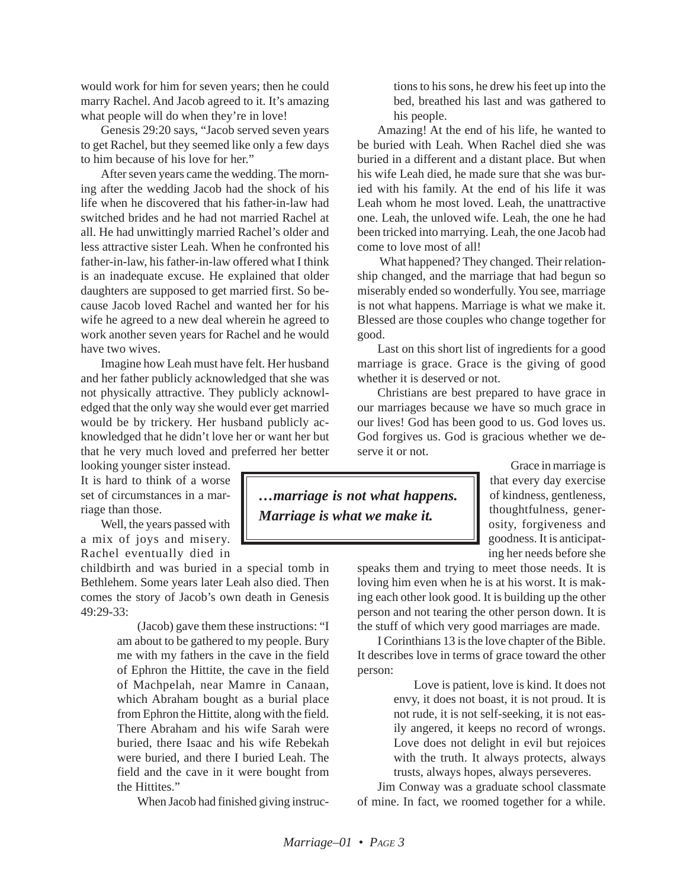would work for him for seven years; then he could marry Rachel. And Jacob agreed to it. It's amazing what people will do when they're in love!

Genesis 29:20 says, "Jacob served seven years to get Rachel, but they seemed like only a few days to him because of his love for her."

After seven years came the wedding. The morning after the wedding Jacob had the shock of his life when he discovered that his father-in-law had switched brides and he had not married Rachel at all. He had unwittingly married Rachel's older and less attractive sister Leah. When he confronted his father-in-law, his father-in-law offered what I think is an inadequate excuse. He explained that older daughters are supposed to get married first. So because Jacob loved Rachel and wanted her for his wife he agreed to a new deal wherein he agreed to work another seven years for Rachel and he would have two wives.

Imagine how Leah must have felt. Her husband and her father publicly acknowledged that she was not physically attractive. They publicly acknowledged that the only way she would ever get married would be by trickery. Her husband publicly acknowledged that he didn't love her or want her but that he very much loved and preferred her better

looking younger sister instead. It is hard to think of a worse set of circumstances in a marriage than those.

Well, the years passed with a mix of joys and misery. Rachel eventually died in

childbirth and was buried in a special tomb in Bethlehem. Some years later Leah also died. Then comes the story of Jacob's own death in Genesis 49:29-33:

> (Jacob) gave them these instructions: "I am about to be gathered to my people. Bury me with my fathers in the cave in the field of Ephron the Hittite, the cave in the field of Machpelah, near Mamre in Canaan, which Abraham bought as a burial place from Ephron the Hittite, along with the field. There Abraham and his wife Sarah were buried, there Isaac and his wife Rebekah were buried, and there I buried Leah. The field and the cave in it were bought from the Hittites."

When Jacob had finished giving instruc-

tions to his sons, he drew his feet up into the bed, breathed his last and was gathered to his people.

Amazing! At the end of his life, he wanted to be buried with Leah. When Rachel died she was buried in a different and a distant place. But when his wife Leah died, he made sure that she was buried with his family. At the end of his life it was Leah whom he most loved. Leah, the unattractive one. Leah, the unloved wife. Leah, the one he had been tricked into marrying. Leah, the one Jacob had come to love most of all!

What happened? They changed. Their relationship changed, and the marriage that had begun so miserably ended so wonderfully. You see, marriage is not what happens. Marriage is what we make it. Blessed are those couples who change together for good.

Last on this short list of ingredients for a good marriage is grace. Grace is the giving of good whether it is deserved or not.

Christians are best prepared to have grace in our marriages because we have so much grace in our lives! God has been good to us. God loves us. God forgives us. God is gracious whether we deserve it or not.

> Grace in marriage is that every day exercise of kindness, gentleness, thoughtfulness, generosity, forgiveness and goodness. It is anticipating her needs before she

speaks them and trying to meet those needs. It is loving him even when he is at his worst. It is making each other look good. It is building up the other person and not tearing the other person down. It is the stuff of which very good marriages are made.

I Corinthians 13 is the love chapter of the Bible. It describes love in terms of grace toward the other person:

> Love is patient, love is kind. It does not envy, it does not boast, it is not proud. It is not rude, it is not self-seeking, it is not easily angered, it keeps no record of wrongs. Love does not delight in evil but rejoices with the truth. It always protects, always trusts, always hopes, always perseveres.

Jim Conway was a graduate school classmate of mine. In fact, we roomed together for a while.

*…marriage is not what happens. Marriage is what we make it.*